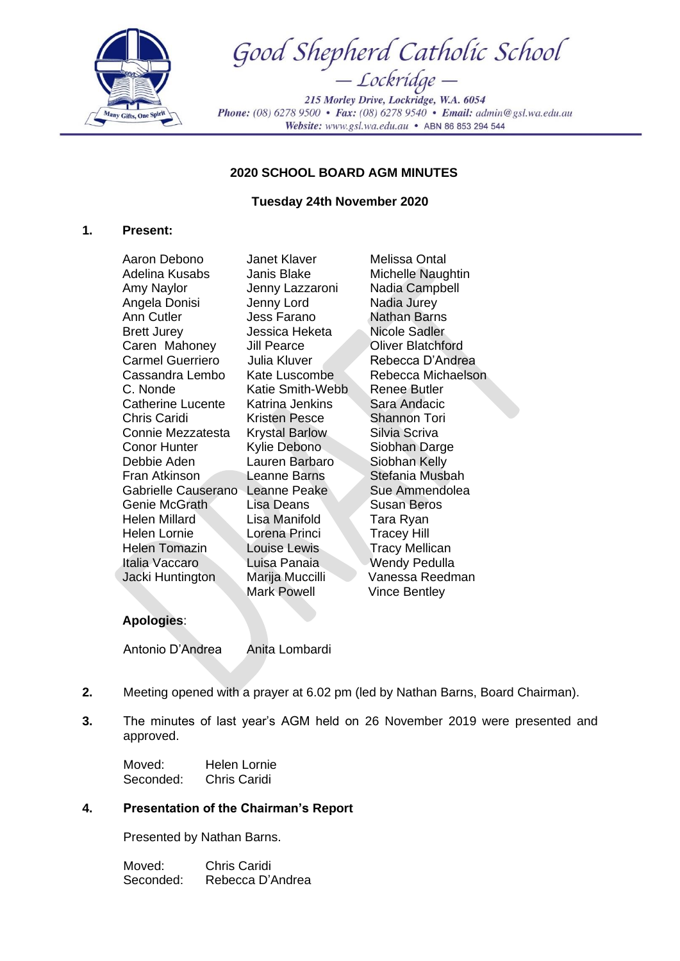

Good Shepherd Catholic School — Lockridge —

215 Morley Drive, Lockridge, W.A. 6054 Phone: (08) 6278 9500 • Fax: (08) 6278 9540 • Email: admin@gsl.wa.edu.au Website: www.gsl.wa.edu.au • ABN 86 853 294 544

## **2020 SCHOOL BOARD AGM MINUTES**

## **Tuesday 24th November 2020**

## **1. Present:**

Aaron Debono Janet Klaver Melissa Ontal Adelina Kusabs Janis Blake Michelle Naughtin Amy Naylor Jenny Lazzaroni Nadia Campbell Angela Donisi Jenny Lord Nadia Jurey Ann Cutler Jess Farano Nathan Barns Brett Jurey **Jessica Heketa** Nicole Sadler Caren Mahoney Jill Pearce **Oliver Blatchford** Carmel Guerriero Julia Kluver Rebecca D'Andrea Cassandra Lembo Kate Luscombe Rebecca Michaelson C. Nonde Katie Smith-Webb Renee Butler Catherine Lucente Katrina Jenkins Sara Andacic Chris Caridi Kristen Pesce Shannon Tori Connie Mezzatesta Krystal Barlow Silvia Scriva Conor Hunter Kylie Debono Siobhan Darge Debbie Aden Lauren Barbaro Siobhan Kelly Fran Atkinson Leanne Barns Stefania Musbah Gabrielle Causerano Leanne Peake Sue Ammendolea Genie McGrath Lisa Deans Susan Beros Helen Millard Lisa Manifold Tara Ryan Helen Lornie Lorena Princi Tracey Hill Helen Tomazin Louise Lewis Tracy Mellican Italia Vaccaro Luisa Panaia Wendy Pedulla Jacki Huntington Marija Muccilli Vanessa Reedman

Mark Powell Vince Bentley

# **Apologies**:

Antonio D'Andrea Anita Lombardi

- **2.** Meeting opened with a prayer at 6.02 pm (led by Nathan Barns, Board Chairman).
- **3.** The minutes of last year's AGM held on 26 November 2019 were presented and approved.

Moved: Helen Lornie Seconded: Chris Caridi

## **4. Presentation of the Chairman's Report**

Presented by Nathan Barns.

Moved: Chris Caridi Seconded: Rebecca D'Andrea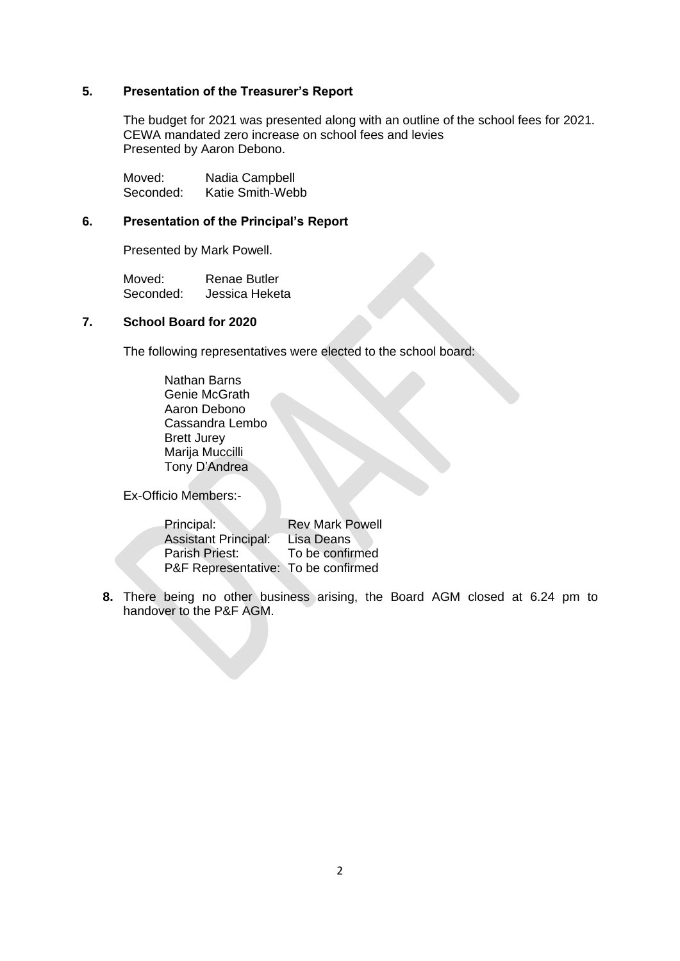#### **5. Presentation of the Treasurer's Report**

The budget for 2021 was presented along with an outline of the school fees for 2021. CEWA mandated zero increase on school fees and levies Presented by Aaron Debono.

Moved: Nadia Campbell Seconded: Katie Smith-Webb

#### **6. Presentation of the Principal's Report**

Presented by Mark Powell.

Moved: Renae Butler<br>Seconded: Jessica Heket Jessica Heketa

#### **7. School Board for 2020**

The following representatives were elected to the school board:

Nathan Barns Genie McGrath Aaron Debono Cassandra Lembo Brett Jurey Marija Muccilli Tony D'Andrea

Ex-Officio Members:-

| Principal:                          | <b>Rev Mark Powell</b> |
|-------------------------------------|------------------------|
| <b>Assistant Principal:</b>         | Lisa Deans             |
| Parish Priest:                      | To be confirmed        |
| P&F Representative: To be confirmed |                        |

**8.** There being no other business arising, the Board AGM closed at 6.24 pm to handover to the P&F AGM.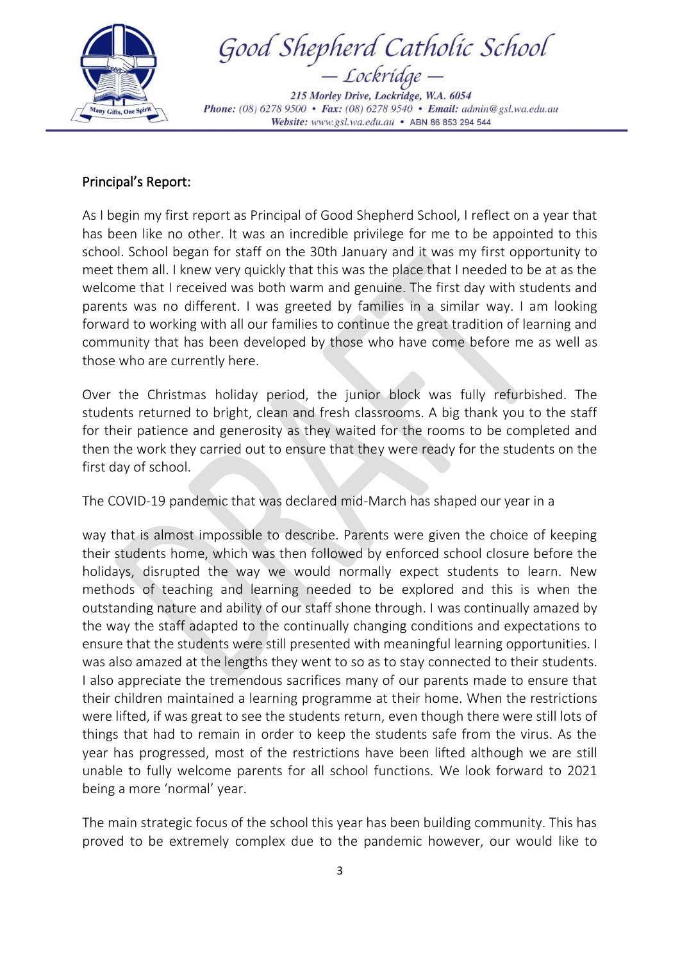

Good Shepherd Catholic School

215 Morley Drive, Lockridge, W.A. 6054 Phone: (08) 6278 9500 • Fax: (08) 6278 9540 • Email: admin@gsl.wa.edu.au Website: www.gsl.wa.edu.au • ABN 86 853 294 544

# Principal's Report:

As I begin my first report as Principal of Good Shepherd School, I reflect on a year that has been like no other. It was an incredible privilege for me to be appointed to this school. School began for staff on the 30th January and it was my first opportunity to meet them all. I knew very quickly that this was the place that I needed to be at as the welcome that I received was both warm and genuine. The first day with students and parents was no different. I was greeted by families in a similar way. I am looking forward to working with all our families to continue the great tradition of learning and community that has been developed by those who have come before me as well as those who are currently here.

Over the Christmas holiday period, the junior block was fully refurbished. The students returned to bright, clean and fresh classrooms. A big thank you to the staff for their patience and generosity as they waited for the rooms to be completed and then the work they carried out to ensure that they were ready for the students on the first day of school.

The COVID-19 pandemic that was declared mid-March has shaped our year in a

way that is almost impossible to describe. Parents were given the choice of keeping their students home, which was then followed by enforced school closure before the holidays, disrupted the way we would normally expect students to learn. New methods of teaching and learning needed to be explored and this is when the outstanding nature and ability of our staff shone through. I was continually amazed by the way the staff adapted to the continually changing conditions and expectations to ensure that the students were still presented with meaningful learning opportunities. I was also amazed at the lengths they went to so as to stay connected to their students. I also appreciate the tremendous sacrifices many of our parents made to ensure that their children maintained a learning programme at their home. When the restrictions were lifted, if was great to see the students return, even though there were still lots of things that had to remain in order to keep the students safe from the virus. As the year has progressed, most of the restrictions have been lifted although we are still unable to fully welcome parents for all school functions. We look forward to 2021 being a more 'normal' year.

The main strategic focus of the school this year has been building community. This has proved to be extremely complex due to the pandemic however, our would like to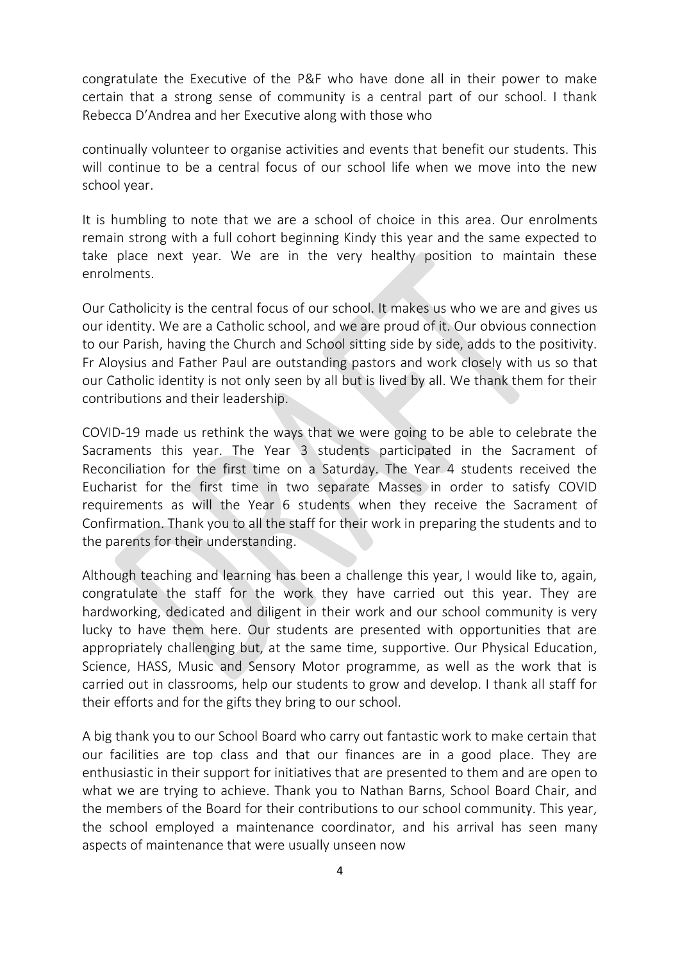congratulate the Executive of the P&F who have done all in their power to make certain that a strong sense of community is a central part of our school. I thank Rebecca D'Andrea and her Executive along with those who

continually volunteer to organise activities and events that benefit our students. This will continue to be a central focus of our school life when we move into the new school year.

It is humbling to note that we are a school of choice in this area. Our enrolments remain strong with a full cohort beginning Kindy this year and the same expected to take place next year. We are in the very healthy position to maintain these enrolments.

Our Catholicity is the central focus of our school. It makes us who we are and gives us our identity. We are a Catholic school, and we are proud of it. Our obvious connection to our Parish, having the Church and School sitting side by side, adds to the positivity. Fr Aloysius and Father Paul are outstanding pastors and work closely with us so that our Catholic identity is not only seen by all but is lived by all. We thank them for their contributions and their leadership.

COVID-19 made us rethink the ways that we were going to be able to celebrate the Sacraments this year. The Year 3 students participated in the Sacrament of Reconciliation for the first time on a Saturday. The Year 4 students received the Eucharist for the first time in two separate Masses in order to satisfy COVID requirements as will the Year 6 students when they receive the Sacrament of Confirmation. Thank you to all the staff for their work in preparing the students and to the parents for their understanding.

Although teaching and learning has been a challenge this year, I would like to, again, congratulate the staff for the work they have carried out this year. They are hardworking, dedicated and diligent in their work and our school community is very lucky to have them here. Our students are presented with opportunities that are appropriately challenging but, at the same time, supportive. Our Physical Education, Science, HASS, Music and Sensory Motor programme, as well as the work that is carried out in classrooms, help our students to grow and develop. I thank all staff for their efforts and for the gifts they bring to our school.

A big thank you to our School Board who carry out fantastic work to make certain that our facilities are top class and that our finances are in a good place. They are enthusiastic in their support for initiatives that are presented to them and are open to what we are trying to achieve. Thank you to Nathan Barns, School Board Chair, and the members of the Board for their contributions to our school community. This year, the school employed a maintenance coordinator, and his arrival has seen many aspects of maintenance that were usually unseen now